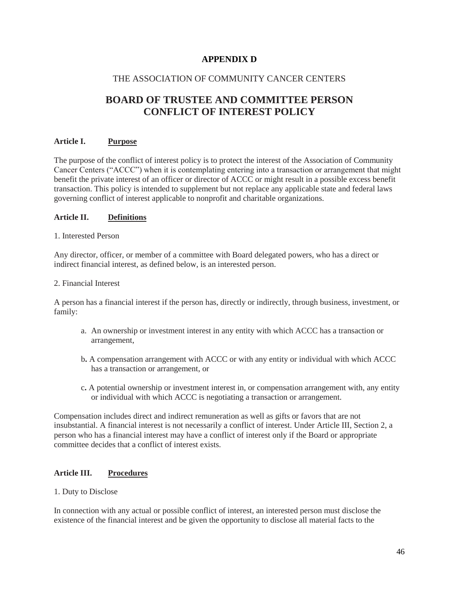## **APPENDIX D**

## THE ASSOCIATION OF COMMUNITY CANCER CENTERS

# **BOARD OF TRUSTEE AND COMMITTEE PERSON CONFLICT OF INTEREST POLICY**

#### **Article I. Purpose**

The purpose of the conflict of interest policy is to protect the interest of the Association of Community Cancer Centers ("ACCC") when it is contemplating entering into a transaction or arrangement that might benefit the private interest of an officer or director of ACCC or might result in a possible excess benefit transaction. This policy is intended to supplement but not replace any applicable state and federal laws governing conflict of interest applicable to nonprofit and charitable organizations.

#### **Article II. Definitions**

#### 1. Interested Person

Any director, officer, or member of a committee with Board delegated powers, who has a direct or indirect financial interest, as defined below, is an interested person.

#### 2. Financial Interest

A person has a financial interest if the person has, directly or indirectly, through business, investment, or family:

- a.An ownership or investment interest in any entity with which ACCC has a transaction or arrangement,
- b**.** A compensation arrangement with ACCC or with any entity or individual with which ACCC has a transaction or arrangement, or
- c**.** A potential ownership or investment interest in, or compensation arrangement with, any entity or individual with which ACCC is negotiating a transaction or arrangement.

Compensation includes direct and indirect remuneration as well as gifts or favors that are not insubstantial. A financial interest is not necessarily a conflict of interest. Under Article III, Section 2, a person who has a financial interest may have a conflict of interest only if the Board or appropriate committee decides that a conflict of interest exists.

#### **Article III. Procedures**

#### 1. Duty to Disclose

In connection with any actual or possible conflict of interest, an interested person must disclose the existence of the financial interest and be given the opportunity to disclose all material facts to the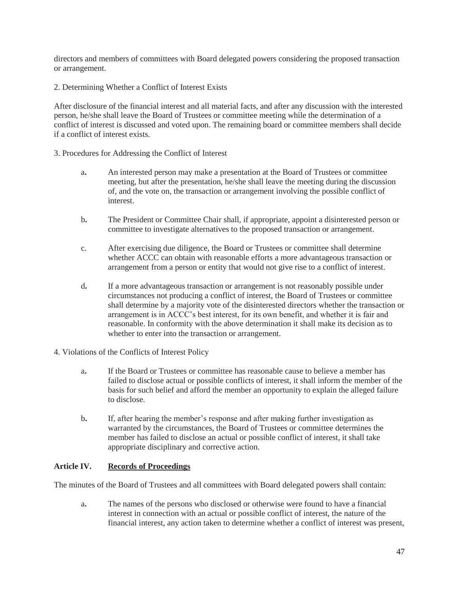directors and members of committees with Board delegated powers considering the proposed transaction or arrangement.

2. Determining Whether a Conflict of Interest Exists

After disclosure of the financial interest and all material facts, and after any discussion with the interested person, he/she shall leave the Board of Trustees or committee meeting while the determination of a conflict of interest is discussed and voted upon. The remaining board or committee members shall decide if a conflict of interest exists.

- 3. Procedures for Addressing the Conflict of Interest
	- a**.** An interested person may make a presentation at the Board of Trustees or committee meeting, but after the presentation, he/she shall leave the meeting during the discussion of, and the vote on, the transaction or arrangement involving the possible conflict of interest.
	- b**.** The President or Committee Chair shall, if appropriate, appoint a disinterested person or committee to investigate alternatives to the proposed transaction or arrangement.
	- c.After exercising due diligence, the Board or Trustees or committee shall determine whether ACCC can obtain with reasonable efforts a more advantageous transaction or arrangement from a person or entity that would not give rise to a conflict of interest.
	- d**.** If a more advantageous transaction or arrangement is not reasonably possible under circumstances not producing a conflict of interest, the Board of Trustees or committee shall determine by a majority vote of the disinterested directors whether the transaction or arrangement is in ACCC's best interest, for its own benefit, and whether it is fair and reasonable. In conformity with the above determination it shall make its decision as to whether to enter into the transaction or arrangement.
- 4. Violations of the Conflicts of Interest Policy
	- a**.** If the Board or Trustees or committee has reasonable cause to believe a member has failed to disclose actual or possible conflicts of interest, it shall inform the member of the basis for such belief and afford the member an opportunity to explain the alleged failure to disclose.
	- b**.** If, after hearing the member's response and after making further investigation as warranted by the circumstances, the Board of Trustees or committee determines the member has failed to disclose an actual or possible conflict of interest, it shall take appropriate disciplinary and corrective action.

#### **Article IV. Records of Proceedings**

The minutes of the Board of Trustees and all committees with Board delegated powers shall contain:

a**.** The names of the persons who disclosed or otherwise were found to have a financial interest in connection with an actual or possible conflict of interest, the nature of the financial interest, any action taken to determine whether a conflict of interest was present,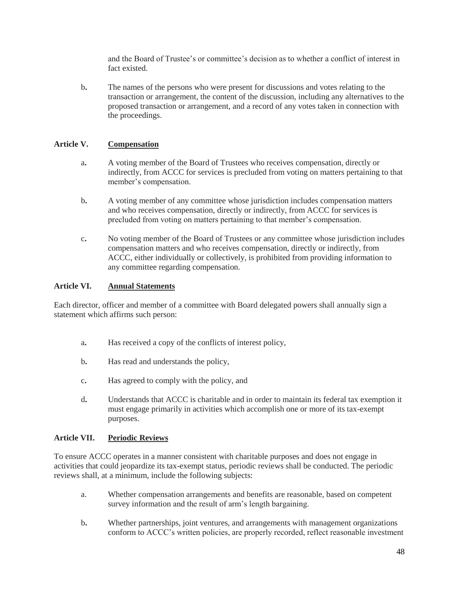and the Board of Trustee's or committee's decision as to whether a conflict of interest in fact existed.

b**.** The names of the persons who were present for discussions and votes relating to the transaction or arrangement, the content of the discussion, including any alternatives to the proposed transaction or arrangement, and a record of any votes taken in connection with the proceedings.

## **Article V. Compensation**

- a**.** A voting member of the Board of Trustees who receives compensation, directly or indirectly, from ACCC for services is precluded from voting on matters pertaining to that member's compensation.
- b**.** A voting member of any committee whose jurisdiction includes compensation matters and who receives compensation, directly or indirectly, from ACCC for services is precluded from voting on matters pertaining to that member's compensation.
- c**.** No voting member of the Board of Trustees or any committee whose jurisdiction includes compensation matters and who receives compensation, directly or indirectly, from ACCC, either individually or collectively, is prohibited from providing information to any committee regarding compensation.

### **Article VI. Annual Statements**

Each director, officer and member of a committee with Board delegated powers shall annually sign a statement which affirms such person:

- a**.** Has received a copy of the conflicts of interest policy,
- b**.** Has read and understands the policy,
- c**.** Has agreed to comply with the policy, and
- d**.** Understands that ACCC is charitable and in order to maintain its federal tax exemption it must engage primarily in activities which accomplish one or more of its tax-exempt purposes.

#### **Article VII. Periodic Reviews**

To ensure ACCC operates in a manner consistent with charitable purposes and does not engage in activities that could jeopardize its tax-exempt status, periodic reviews shall be conducted. The periodic reviews shall, at a minimum, include the following subjects:

- a. Whether compensation arrangements and benefits are reasonable, based on competent survey information and the result of arm's length bargaining.
- b. Whether partnerships, joint ventures, and arrangements with management organizations conform to ACCC's written policies, are properly recorded, reflect reasonable investment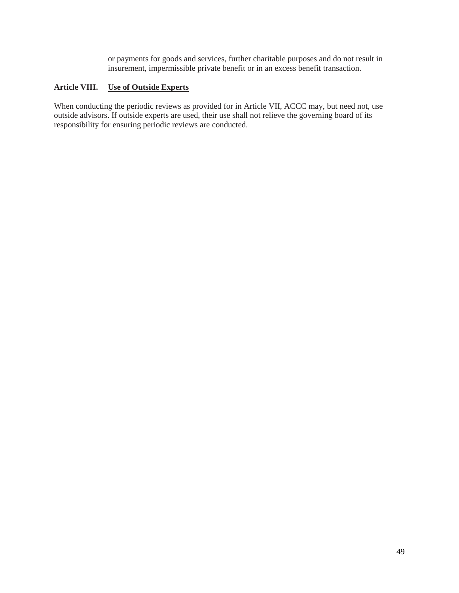or payments for goods and services, further charitable purposes and do not result in insurement, impermissible private benefit or in an excess benefit transaction.

### **Article VIII. Use of Outside Experts**

When conducting the periodic reviews as provided for in Article VII, ACCC may, but need not, use outside advisors. If outside experts are used, their use shall not relieve the governing board of its responsibility for ensuring periodic reviews are conducted.